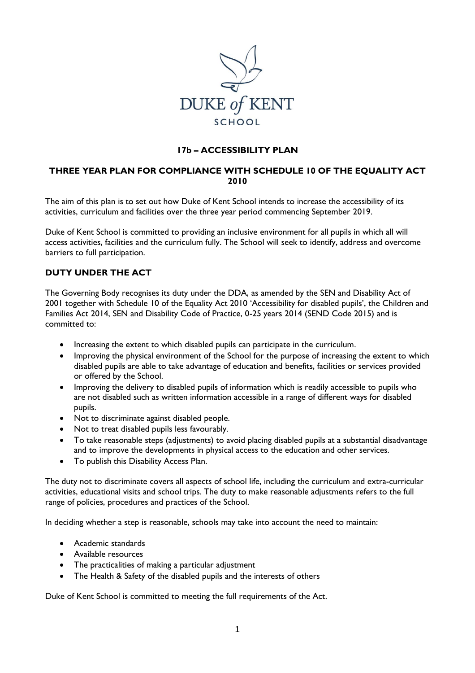

## **17b – ACCESSIBILITY PLAN**

# **THREE YEAR PLAN FOR COMPLIANCE WITH SCHEDULE 10 OF THE EQUALITY ACT 2010**

The aim of this plan is to set out how Duke of Kent School intends to increase the accessibility of its activities, curriculum and facilities over the three year period commencing September 2019.

Duke of Kent School is committed to providing an inclusive environment for all pupils in which all will access activities, facilities and the curriculum fully. The School will seek to identify, address and overcome barriers to full participation.

#### **DUTY UNDER THE ACT**

The Governing Body recognises its duty under the DDA, as amended by the SEN and Disability Act of 2001 together with Schedule 10 of the Equality Act 2010 'Accessibility for disabled pupils', the Children and Families Act 2014, SEN and Disability Code of Practice, 0-25 years 2014 (SEND Code 2015) and is committed to:

- Increasing the extent to which disabled pupils can participate in the curriculum.
- Improving the physical environment of the School for the purpose of increasing the extent to which disabled pupils are able to take advantage of education and benefits, facilities or services provided or offered by the School.
- Improving the delivery to disabled pupils of information which is readily accessible to pupils who are not disabled such as written information accessible in a range of different ways for disabled pupils.
- Not to discriminate against disabled people.
- Not to treat disabled pupils less favourably.
- To take reasonable steps (adjustments) to avoid placing disabled pupils at a substantial disadvantage and to improve the developments in physical access to the education and other services.
- To publish this Disability Access Plan.

The duty not to discriminate covers all aspects of school life, including the curriculum and extra-curricular activities, educational visits and school trips. The duty to make reasonable adjustments refers to the full range of policies, procedures and practices of the School.

In deciding whether a step is reasonable, schools may take into account the need to maintain:

- Academic standards
- Available resources
- The practicalities of making a particular adjustment
- The Health & Safety of the disabled pupils and the interests of others

Duke of Kent School is committed to meeting the full requirements of the Act.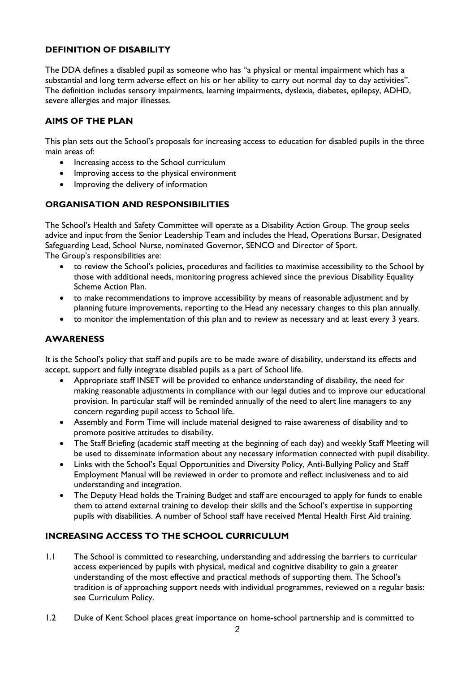## **DEFINITION OF DISABILITY**

The DDA defines a disabled pupil as someone who has "a physical or mental impairment which has a substantial and long term adverse effect on his or her ability to carry out normal day to day activities". The definition includes sensory impairments, learning impairments, dyslexia, diabetes, epilepsy, ADHD, severe allergies and major illnesses.

## **AIMS OF THE PLAN**

This plan sets out the School's proposals for increasing access to education for disabled pupils in the three main areas of:

- Increasing access to the School curriculum
- Improving access to the physical environment
- Improving the delivery of information

#### **ORGANISATION AND RESPONSIBILITIES**

The School's Health and Safety Committee will operate as a Disability Action Group. The group seeks advice and input from the Senior Leadership Team and includes the Head, Operations Bursar, Designated Safeguarding Lead, School Nurse, nominated Governor, SENCO and Director of Sport.

The Group's responsibilities are:

- to review the School's policies, procedures and facilities to maximise accessibility to the School by those with additional needs, monitoring progress achieved since the previous Disability Equality Scheme Action Plan.
- to make recommendations to improve accessibility by means of reasonable adjustment and by planning future improvements, reporting to the Head any necessary changes to this plan annually.
- to monitor the implementation of this plan and to review as necessary and at least every 3 years.

#### **AWARENESS**

It is the School's policy that staff and pupils are to be made aware of disability, understand its effects and accept, support and fully integrate disabled pupils as a part of School life.

- Appropriate staff INSET will be provided to enhance understanding of disability, the need for making reasonable adjustments in compliance with our legal duties and to improve our educational provision. In particular staff will be reminded annually of the need to alert line managers to any concern regarding pupil access to School life.
- Assembly and Form Time will include material designed to raise awareness of disability and to promote positive attitudes to disability.
- The Staff Briefing (academic staff meeting at the beginning of each day) and weekly Staff Meeting will be used to disseminate information about any necessary information connected with pupil disability.
- Links with the School's Equal Opportunities and Diversity Policy, Anti-Bullying Policy and Staff Employment Manual will be reviewed in order to promote and reflect inclusiveness and to aid understanding and integration.
- The Deputy Head holds the Training Budget and staff are encouraged to apply for funds to enable them to attend external training to develop their skills and the School's expertise in supporting pupils with disabilities. A number of School staff have received Mental Health First Aid training.

#### **INCREASING ACCESS TO THE SCHOOL CURRICULUM**

- 1.1 The School is committed to researching, understanding and addressing the barriers to curricular access experienced by pupils with physical, medical and cognitive disability to gain a greater understanding of the most effective and practical methods of supporting them. The School's tradition is of approaching support needs with individual programmes, reviewed on a regular basis: see Curriculum Policy.
- 1.2 Duke of Kent School places great importance on home-school partnership and is committed to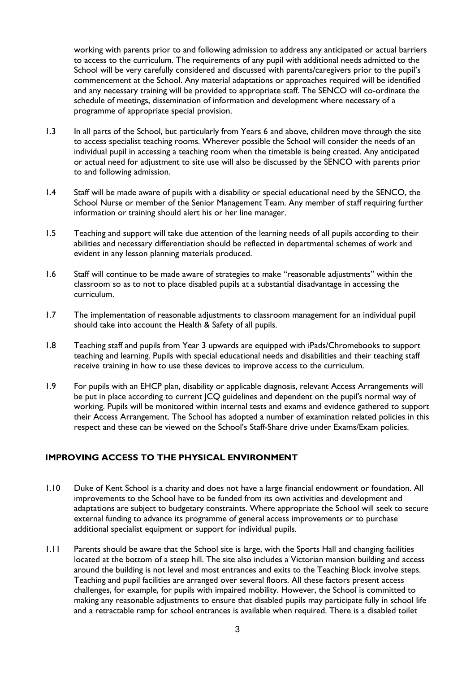working with parents prior to and following admission to address any anticipated or actual barriers to access to the curriculum. The requirements of any pupil with additional needs admitted to the School will be very carefully considered and discussed with parents/caregivers prior to the pupil's commencement at the School. Any material adaptations or approaches required will be identified and any necessary training will be provided to appropriate staff. The SENCO will co-ordinate the schedule of meetings, dissemination of information and development where necessary of a programme of appropriate special provision.

- 1.3 In all parts of the School, but particularly from Years 6 and above, children move through the site to access specialist teaching rooms. Wherever possible the School will consider the needs of an individual pupil in accessing a teaching room when the timetable is being created. Any anticipated or actual need for adjustment to site use will also be discussed by the SENCO with parents prior to and following admission.
- 1.4 Staff will be made aware of pupils with a disability or special educational need by the SENCO, the School Nurse or member of the Senior Management Team. Any member of staff requiring further information or training should alert his or her line manager.
- 1.5 Teaching and support will take due attention of the learning needs of all pupils according to their abilities and necessary differentiation should be reflected in departmental schemes of work and evident in any lesson planning materials produced.
- 1.6 Staff will continue to be made aware of strategies to make "reasonable adjustments" within the classroom so as to not to place disabled pupils at a substantial disadvantage in accessing the curriculum.
- 1.7 The implementation of reasonable adjustments to classroom management for an individual pupil should take into account the Health & Safety of all pupils.
- 1.8 Teaching staff and pupils from Year 3 upwards are equipped with iPads/Chromebooks to support teaching and learning. Pupils with special educational needs and disabilities and their teaching staff receive training in how to use these devices to improve access to the curriculum.
- 1.9 For pupils with an EHCP plan, disability or applicable diagnosis, relevant Access Arrangements will be put in place according to current JCQ guidelines and dependent on the pupil's normal way of working. Pupils will be monitored within internal tests and exams and evidence gathered to support their Access Arrangement. The School has adopted a number of examination related policies in this respect and these can be viewed on the School's Staff-Share drive under Exams/Exam policies.

#### **IMPROVING ACCESS TO THE PHYSICAL ENVIRONMENT**

- 1.10 Duke of Kent School is a charity and does not have a large financial endowment or foundation. All improvements to the School have to be funded from its own activities and development and adaptations are subject to budgetary constraints. Where appropriate the School will seek to secure external funding to advance its programme of general access improvements or to purchase additional specialist equipment or support for individual pupils.
- 1.11 Parents should be aware that the School site is large, with the Sports Hall and changing facilities located at the bottom of a steep hill. The site also includes a Victorian mansion building and access around the building is not level and most entrances and exits to the Teaching Block involve steps. Teaching and pupil facilities are arranged over several floors. All these factors present access challenges, for example, for pupils with impaired mobility. However, the School is committed to making any reasonable adjustments to ensure that disabled pupils may participate fully in school life and a retractable ramp for school entrances is available when required. There is a disabled toilet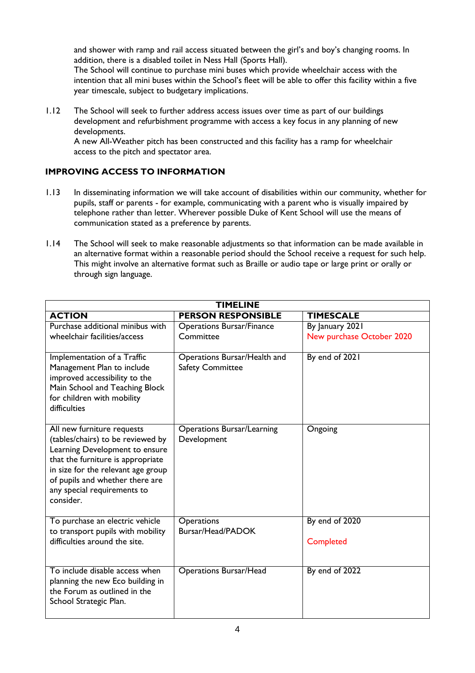and shower with ramp and rail access situated between the girl's and boy's changing rooms. In addition, there is a disabled toilet in Ness Hall (Sports Hall).

The School will continue to purchase mini buses which provide wheelchair access with the intention that all mini buses within the School's fleet will be able to offer this facility within a five year timescale, subject to budgetary implications.

1.12 The School will seek to further address access issues over time as part of our buildings development and refurbishment programme with access a key focus in any planning of new developments.

A new All-Weather pitch has been constructed and this facility has a ramp for wheelchair access to the pitch and spectator area.

# **IMPROVING ACCESS TO INFORMATION**

- 1.13 In disseminating information we will take account of disabilities within our community, whether for pupils, staff or parents - for example, communicating with a parent who is visually impaired by telephone rather than letter. Wherever possible Duke of Kent School will use the means of communication stated as a preference by parents.
- 1.14 The School will seek to make reasonable adjustments so that information can be made available in an alternative format within a reasonable period should the School receive a request for such help. This might involve an alternative format such as Braille or audio tape or large print or orally or through sign language.

| <b>TIMELINE</b>                                                                                                                                                                                                                                             |                                                         |                                              |  |
|-------------------------------------------------------------------------------------------------------------------------------------------------------------------------------------------------------------------------------------------------------------|---------------------------------------------------------|----------------------------------------------|--|
| <b>ACTION</b>                                                                                                                                                                                                                                               | <b>PERSON RESPONSIBLE</b>                               | <b>TIMESCALE</b>                             |  |
| Purchase additional minibus with<br>wheelchair facilities/access                                                                                                                                                                                            | <b>Operations Bursar/Finance</b><br>Committee           | By January 2021<br>New purchase October 2020 |  |
| Implementation of a Traffic<br>Management Plan to include<br>improved accessibility to the<br>Main School and Teaching Block<br>for children with mobility<br>difficulties                                                                                  | Operations Bursar/Health and<br><b>Safety Committee</b> | By end of 2021                               |  |
| All new furniture requests<br>(tables/chairs) to be reviewed by<br>Learning Development to ensure<br>that the furniture is appropriate<br>in size for the relevant age group<br>of pupils and whether there are<br>any special requirements to<br>consider. | <b>Operations Bursar/Learning</b><br>Development        | Ongoing                                      |  |
| To purchase an electric vehicle<br>to transport pupils with mobility<br>difficulties around the site.                                                                                                                                                       | Operations<br>Bursar/Head/PADOK                         | By end of 2020<br>Completed                  |  |
| To include disable access when<br>planning the new Eco building in<br>the Forum as outlined in the<br>School Strategic Plan.                                                                                                                                | <b>Operations Bursar/Head</b>                           | By end of 2022                               |  |